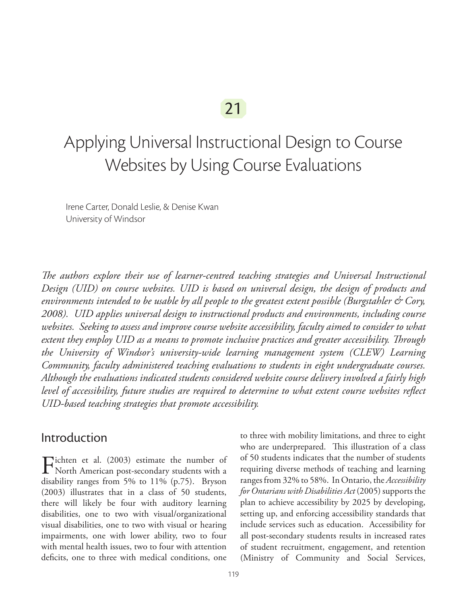# Applying Universal Instructional Design to Course Websites by Using Course Evaluations

Irene Carter, Donald Leslie, & Denise Kwan University of Windsor

*The authors explore their use of learner-centred teaching strategies and Universal Instructional Design (UID) on course websites. UID is based on universal design, the design of products and environments intended to be usable by all people to the greatest extent possible (Burgstahler & Cory, 2008). UID applies universal design to instructional products and environments, including course websites. Seeking to assess and improve course website accessibility, faculty aimed to consider to what extent they employ UID as a means to promote inclusive practices and greater accessibility. Through the University of Windsor's university-wide learning management system (CLEW) Learning Community, faculty administered teaching evaluations to students in eight undergraduate courses. Although the evaluations indicated students considered website course delivery involved a fairly high level of accessibility, future studies are required to determine to what extent course websites reflect UID-based teaching strategies that promote accessibility.*

#### Introduction

Fichten et al. (2003) estimate the number of North American post-secondary students with a disability ranges from 5% to 11% (p.75). Bryson (2003) illustrates that in a class of 50 students, there will likely be four with auditory learning disabilities, one to two with visual/organizational visual disabilities, one to two with visual or hearing impairments, one with lower ability, two to four with mental health issues, two to four with attention deficits, one to three with medical conditions, one

to three with mobility limitations, and three to eight who are underprepared. This illustration of a class of 50 students indicates that the number of students requiring diverse methods of teaching and learning ranges from 32% to 58%. In Ontario, the *Accessibility for Ontarians with Disabilities Act* (2005) supports the plan to achieve accessibility by 2025 by developing, setting up, and enforcing accessibility standards that include services such as education. Accessibility for all post-secondary students results in increased rates of student recruitment, engagement, and retention (Ministry of Community and Social Services,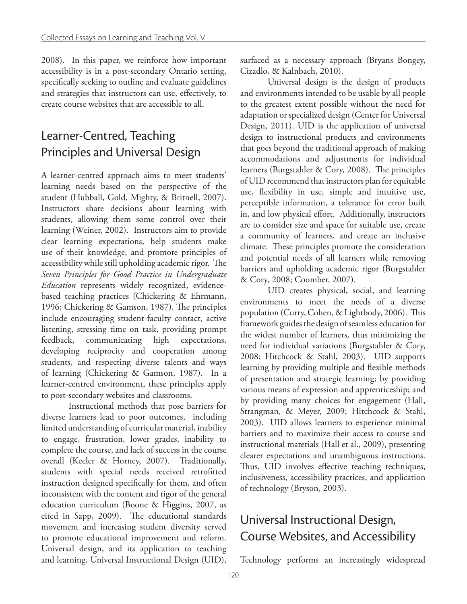2008). In this paper, we reinforce how important accessibility is in a post-secondary Ontario setting, specifically seeking to outline and evaluate guidelines and strategies that instructors can use, effectively, to create course websites that are accessible to all.

## Learner-Centred, Teaching Principles and Universal Design

A learner-centred approach aims to meet students' learning needs based on the perspective of the student (Hubball, Gold, Mighty, & Britnell, 2007). Instructors share decisions about learning with students, allowing them some control over their learning (Weiner, 2002). Instructors aim to provide clear learning expectations, help students make use of their knowledge, and promote principles of accessibility while still upholding academic rigor. The *Seven Principles for Good Practice in Undergraduate Education* represents widely recognized, evidencebased teaching practices (Chickering & Ehrmann, 1996; Chickering & Gamson, 1987). The principles include encouraging student-faculty contact, active listening, stressing time on task, providing prompt feedback, communicating high expectations, developing reciprocity and cooperation among students, and respecting diverse talents and ways of learning (Chickering & Gamson, 1987). In a learner-centred environment, these principles apply to post-secondary websites and classrooms.

Instructional methods that pose barriers for diverse learners lead to poor outcomes, including limited understanding of curricular material, inability to engage, frustration, lower grades, inability to complete the course, and lack of success in the course overall (Keeler & Horney, 2007). Traditionally, students with special needs received retrofitted instruction designed specifically for them, and often inconsistent with the content and rigor of the general education curriculum (Boone & Higgins, 2007, as cited in Sapp, 2009). The educational standards movement and increasing student diversity served to promote educational improvement and reform. Universal design, and its application to teaching and learning, Universal Instructional Design (UID),

surfaced as a necessary approach (Bryans Bongey, Cizadlo, & Kalnbach, 2010).

Universal design is the design of products and environments intended to be usable by all people to the greatest extent possible without the need for adaptation or specialized design (Center for Universal Design, 2011). UID is the application of universal design to instructional products and environments that goes beyond the traditional approach of making accommodations and adjustments for individual learners (Burgstahler & Cory, 2008). The principles of UID recommend that instructors plan for equitable use, flexibility in use, simple and intuitive use, perceptible information, a tolerance for error built in, and low physical effort. Additionally, instructors are to consider size and space for suitable use, create a community of learners, and create an inclusive climate. These principles promote the consideration and potential needs of all learners while removing barriers and upholding academic rigor (Burgstahler & Cory, 2008; Coomber, 2007).

UID creates physical, social, and learning environments to meet the needs of a diverse population (Curry, Cohen, & Lightbody, 2006). This framework guides the design of seamless education for the widest number of learners, thus minimizing the need for individual variations (Burgstahler & Cory, 2008; Hitchcock & Stahl, 2003). UID supports learning by providing multiple and flexible methods of presentation and strategic learning; by providing various means of expression and apprenticeship; and by providing many choices for engagement (Hall, Strangman, & Meyer, 2009; Hitchcock & Stahl, 2003). UID allows learners to experience minimal barriers and to maximize their access to course and instructional materials (Hall et al., 2009), presenting clearer expectations and unambiguous instructions. Thus, UID involves effective teaching techniques, inclusiveness, accessibility practices, and application of technology (Bryson, 2003).

## Universal Instructional Design, Course Websites, and Accessibility

Technology performs an increasingly widespread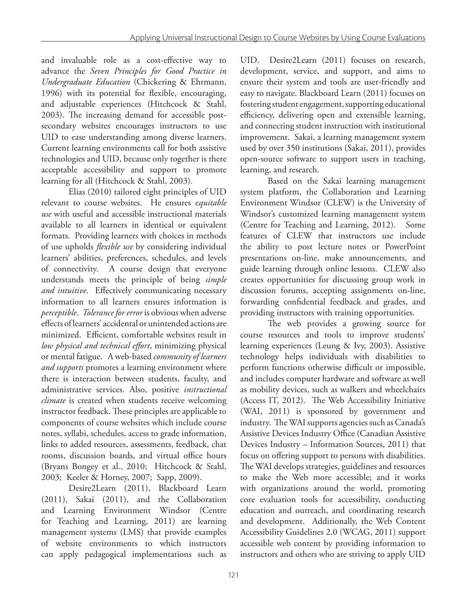and invaluable role as a cost-effective way to advance the *Seven Principles for Good Practice in Undergraduate Education* (Chickering & Ehrmann, 1996) with its potential for flexible, encouraging, and adjustable experiences (Hitchcock & Stahl, 2003). The increasing demand for accessible postsecondary websites encourages instructors to use UID to ease understanding among diverse learners. Current learning environments call for both assistive technologies and UID, because only together is there acceptable accessibility and support to promote learning for all (Hitchcock & Stahl, 2003).

Elias (2010) tailored eight principles of UID relevant to course websites. He ensures e*quitable use* with useful and accessible instructional materials available to all learners in identical or equivalent formats. Providing learners with choices in methods of use upholds *flexible use* by considering individual learners' abilities, preferences, schedules, and levels of connectivity. A course design that everyone understands meets the principle of being *simple and intuitive*. Effectively communicating necessary information to all learners ensures information is *perceptible*. *Tolerance for error* is obvious when adverse effects of learners' accidental or unintended actions are minimized. Efficient, comfortable websites result in *low physical and technical effort*, minimizing physical or mental fatigue. A web-based *community of learners and supports* promotes a learning environment where there is interaction between students, faculty, and administrative services. Also, positive *instructional climate* is created when students receive welcoming instructor feedback. These principles are applicable to components of course websites which include course notes, syllabi, schedules, access to grade information, links to added resources, assessments, feedback, chat rooms, discussion boards, and virtual office hours (Bryans Bongey et al., 2010; Hitchcock & Stahl, 2003; Keeler & Horney, 2007; Sapp, 2009).

Desire2Learn (2011), Blackboard Learn (2011), Sakai (2011), and the Collaboration and Learning Environment Windsor (Centre for Teaching and Learning, 2011) are learning management systems (LMS) that provide examples of website environments to which instructors can apply pedagogical implementations such as

UID. Desire2Learn (2011) focuses on research, development, service, and support, and aims to ensure their system and tools are user-friendly and easy to navigate. Blackboard Learn (2011) focuses on fostering student engagement, supporting educational efficiency, delivering open and extensible learning, and connecting student instruction with institutional improvement. Sakai, a learning management system used by over 350 institutions (Sakai, 2011), provides open-source software to support users in teaching, learning, and research.

Based on the Sakai learning management system platform, the Collaboration and Learning Environment Windsor (CLEW) is the University of Windsor's customized learning management system (Centre for Teaching and Learning, 2012). Some features of CLEW that instructors use include the ability to post lecture notes or PowerPoint presentations on-line, make announcements, and guide learning through online lessons. CLEW also creates opportunities for discussing group work in discussion forums, accepting assignments on-line, forwarding confidential feedback and grades, and providing instructors with training opportunities.

The web provides a growing source for course resources and tools to improve students' learning experiences (Leung & Ivy, 2003). Assistive technology helps individuals with disabilities to perform functions otherwise difficult or impossible, and includes computer hardware and software as well as mobility devices, such as walkers and wheelchairs (Access IT, 2012). The Web Accessibility Initiative (WAI, 2011) is sponsored by government and industry. The WAI supports agencies such as Canada's Assistive Devices Industry Office (Canadian Assistive Devices Industry – Information Sources, 2011) that focus on offering support to persons with disabilities. The WAI develops strategies, guidelines and resources to make the Web more accessible; and it works with organizations around the world, promoting core evaluation tools for accessibility, conducting education and outreach, and coordinating research and development. Additionally, the Web Content Accessibility Guidelines 2.0 (WCAG, 2011) support accessible web content by providing information to instructors and others who are striving to apply UID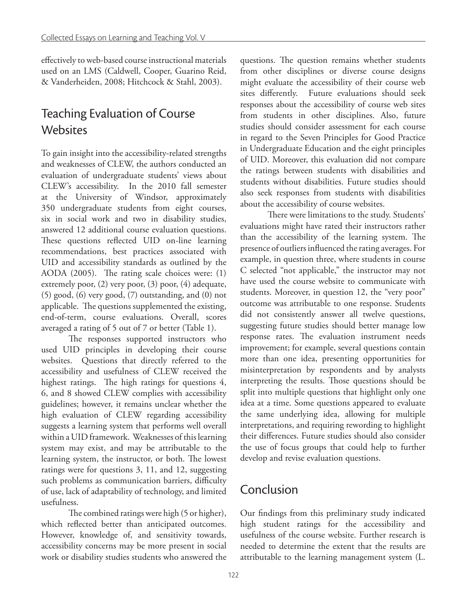effectively to web-based course instructional materials used on an LMS (Caldwell, Cooper, Guarino Reid, & Vanderheiden, 2008; Hitchcock & Stahl, 2003).

### Teaching Evaluation of Course Websites

To gain insight into the accessibility-related strengths and weaknesses of CLEW, the authors conducted an evaluation of undergraduate students' views about CLEW's accessibility. In the 2010 fall semester at the University of Windsor, approximately 350 undergraduate students from eight courses, six in social work and two in disability studies, answered 12 additional course evaluation questions. These questions reflected UID on-line learning recommendations, best practices associated with UID and accessibility standards as outlined by the AODA (2005). The rating scale choices were: (1) extremely poor, (2) very poor, (3) poor, (4) adequate, (5) good, (6) very good, (7) outstanding, and (0) not applicable. The questions supplemented the existing, end-of-term, course evaluations. Overall, scores averaged a rating of 5 out of 7 or better (Table 1).

The responses supported instructors who used UID principles in developing their course websites. Questions that directly referred to the accessibility and usefulness of CLEW received the highest ratings. The high ratings for questions 4, 6, and 8 showed CLEW complies with accessibility guidelines; however, it remains unclear whether the high evaluation of CLEW regarding accessibility suggests a learning system that performs well overall within a UID framework. Weaknesses of this learning system may exist, and may be attributable to the learning system, the instructor, or both. The lowest ratings were for questions 3, 11, and 12, suggesting such problems as communication barriers, difficulty of use, lack of adaptability of technology, and limited usefulness.

The combined ratings were high (5 or higher), which reflected better than anticipated outcomes. However, knowledge of, and sensitivity towards, accessibility concerns may be more present in social work or disability studies students who answered the questions. The question remains whether students from other disciplines or diverse course designs might evaluate the accessibility of their course web sites differently. Future evaluations should seek responses about the accessibility of course web sites from students in other disciplines. Also, future studies should consider assessment for each course in regard to the Seven Principles for Good Practice in Undergraduate Education and the eight principles of UID. Moreover, this evaluation did not compare the ratings between students with disabilities and students without disabilities. Future studies should also seek responses from students with disabilities about the accessibility of course websites.

There were limitations to the study. Students' evaluations might have rated their instructors rather than the accessibility of the learning system. The presence of outliers influenced the rating averages. For example, in question three, where students in course C selected "not applicable," the instructor may not have used the course website to communicate with students. Moreover, in question 12, the "very poor" outcome was attributable to one response. Students did not consistently answer all twelve questions, suggesting future studies should better manage low response rates. The evaluation instrument needs improvement; for example, several questions contain more than one idea, presenting opportunities for misinterpretation by respondents and by analysts interpreting the results. Those questions should be split into multiple questions that highlight only one idea at a time. Some questions appeared to evaluate the same underlying idea, allowing for multiple interpretations, and requiring rewording to highlight their differences. Future studies should also consider the use of focus groups that could help to further develop and revise evaluation questions.

#### Conclusion

Our findings from this preliminary study indicated high student ratings for the accessibility and usefulness of the course website. Further research is needed to determine the extent that the results are attributable to the learning management system (L.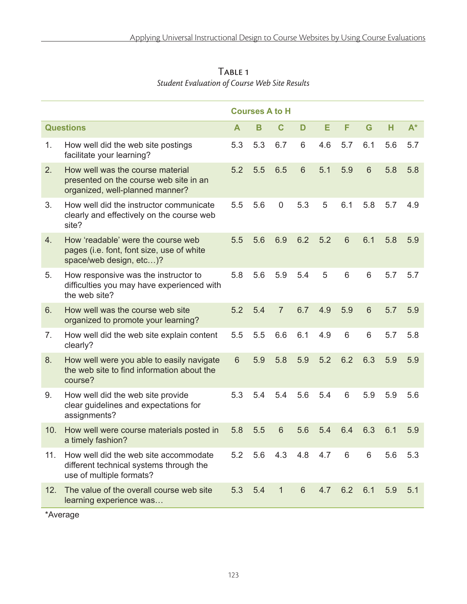|                  |                                                                                                               | <b>Courses A to H</b> |     |                |                |     |                 |                |     |       |
|------------------|---------------------------------------------------------------------------------------------------------------|-----------------------|-----|----------------|----------------|-----|-----------------|----------------|-----|-------|
| <b>Questions</b> |                                                                                                               | A                     | B   | C              | D              | Е   | F               | G              | н   | $A^*$ |
| 1.               | How well did the web site postings<br>facilitate your learning?                                               | 5.3                   | 5.3 | 6.7            | 6              | 4.6 | 5.7             | 6.1            | 5.6 | 5.7   |
| 2.               | How well was the course material<br>presented on the course web site in an<br>organized, well-planned manner? | 5.2                   | 5.5 | 6.5            | $6\phantom{1}$ | 5.1 | 5.9             | $6\phantom{1}$ | 5.8 | 5.8   |
| 3.               | How well did the instructor communicate<br>clearly and effectively on the course web<br>site?                 | 5.5                   | 5.6 | $\mathbf 0$    | 5.3            | 5   | 6.1             | 5.8            | 5.7 | 4.9   |
| 4.               | How 'readable' were the course web<br>pages (i.e. font, font size, use of white<br>space/web design, etc)?    | 5.5                   | 5.6 | 6.9            | 6.2            | 5.2 | $6\phantom{1}6$ | 6.1            | 5.8 | 5.9   |
| 5.               | How responsive was the instructor to<br>difficulties you may have experienced with<br>the web site?           | 5.8                   | 5.6 | 5.9            | 5.4            | 5   | 6               | 6              | 5.7 | 5.7   |
| 6.               | How well was the course web site<br>organized to promote your learning?                                       | 5.2                   | 5.4 | $\overline{7}$ | 6.7            | 4.9 | 5.9             | 6              | 5.7 | 5.9   |
| 7.               | How well did the web site explain content<br>clearly?                                                         | 5.5                   | 5.5 | 6.6            | 6.1            | 4.9 | $6\phantom{1}$  | 6              | 5.7 | 5.8   |
| 8.               | How well were you able to easily navigate<br>the web site to find information about the<br>course?            | $6\phantom{1}$        | 5.9 | 5.8            | 5.9            | 5.2 | 6.2             | 6.3            | 5.9 | 5.9   |
| 9.               | How well did the web site provide<br>clear guidelines and expectations for<br>assignments?                    | 5.3                   | 5.4 | 5.4            | 5.6            | 5.4 | 6               | 5.9            | 5.9 | 5.6   |
| 10.              | How well were course materials posted in<br>a timely fashion?                                                 | 5.8                   | 5.5 | 6              | 5.6            | 5.4 | 6.4             | 6.3            | 6.1 | 5.9   |
| 11.              | How well did the web site accommodate<br>different technical systems through the<br>use of multiple formats?  | 5.2                   | 5.6 | 4.3            | 4.8            | 4.7 | 6               | 6              | 5.6 | 5.3   |
| 12.              | The value of the overall course web site<br>learning experience was                                           | 5.3                   | 5.4 | $\mathbf{1}$   | 6              | 4.7 | 6.2             | 6.1            | 5.9 | 5.1   |

Table 1 *Student Evaluation of Course Web Site Results*

\*Average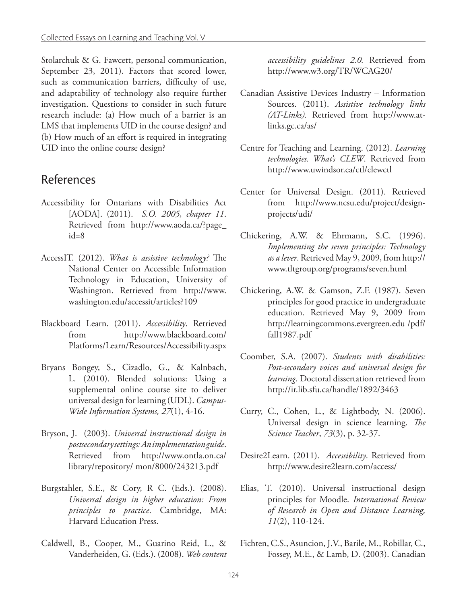Stolarchuk & G. Fawcett, personal communication, September 23, 2011). Factors that scored lower, such as communication barriers, difficulty of use, and adaptability of technology also require further investigation. Questions to consider in such future research include: (a) How much of a barrier is an LMS that implements UID in the course design? and (b) How much of an effort is required in integrating UID into the online course design?

#### References

- Accessibility for Ontarians with Disabilities Act [AODA]. (2011). *S.O. 2005, chapter 11*. Retrieved from http://www.aoda.ca/?page\_ id=8
- AccessIT. (2012). *What is assistive technology?* The National Center on Accessible Information Technology in Education, University of Washington. Retrieved from http://www. washington.edu/accessit/articles?109
- Blackboard Learn. (2011). *Accessibility*. Retrieved from http://www.blackboard.com/ Platforms/Learn/Resources/Accessibility.aspx
- Bryans Bongey, S., Cizadlo, G., & Kalnbach, L. (2010). Blended solutions: Using a supplemental online course site to deliver universal design for learning (UDL). *Campus-Wide Information Systems, 27*(1), 4-16.
- Bryson, J. (2003). *Universal instructional design in postsecondary settings: An implementation guide*. Retrieved from http://www.ontla.on.ca/ library/repository/ mon/8000/243213.pdf
- Burgstahler, S.E., & Cory, R C. (Eds.). (2008). *Universal design in higher education: From principles to practice*. Cambridge, MA: Harvard Education Press.
- Caldwell, B., Cooper, M., Guarino Reid, L., & Vanderheiden, G. (Eds.). (2008). *Web content*

*accessibility guidelines 2.0.* Retrieved from http://www.w3.org/TR/WCAG20/

- Canadian Assistive Devices Industry Information Sources. (2011). *Assistive technology links (AT-Links).* Retrieved from http://www.atlinks.gc.ca/as/
- Centre for Teaching and Learning. (2012). *Learning technologies. What's CLEW*. Retrieved from http://www.uwindsor.ca/ctl/clewctl
- Center for Universal Design. (2011). Retrieved from http://www.ncsu.edu/project/designprojects/udi/
- Chickering, A.W. & Ehrmann, S.C. (1996). *Implementing the seven principles: Technology as a lever*. Retrieved May 9, 2009, from http:// www.tltgroup.org/programs/seven.html
- Chickering, A.W. & Gamson, Z.F. (1987). Seven principles for good practice in undergraduate education. Retrieved May 9, 2009 from http://learningcommons.evergreen.edu /pdf/ fall1987.pdf
- Coomber, S.A. (2007). *Students with disabilities: Post-secondary voices and universal design for learning*. Doctoral dissertation retrieved from http://ir.lib.sfu.ca/handle/1892/3463
- Curry, C., Cohen, L., & Lightbody, N. (2006). Universal design in science learning. *The Science Teacher*, *73*(3), p. 32-37.
- Desire2Learn. (2011). *Accessibility*. Retrieved from http://www.desire2learn.com/access/
- Elias, T. (2010). Universal instructional design principles for Moodle. *International Review of Research in Open and Distance Learning, 11*(2), 110-124.
- Fichten, C.S., Asuncion, J.V., Barile, M., Robillar, C., Fossey, M.E., & Lamb, D. (2003). Canadian